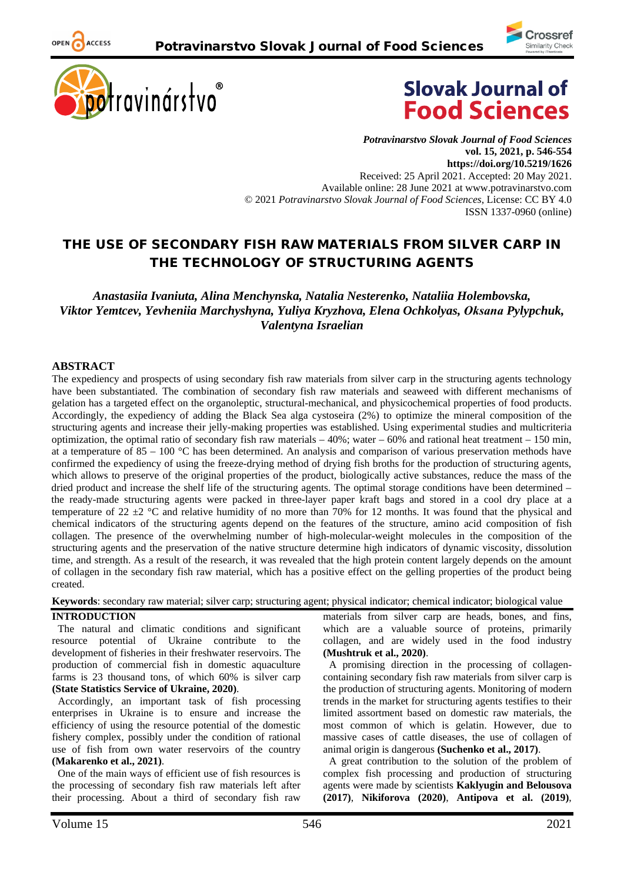



OPEN ACCESS



*Potravinarstvo Slovak Journal of Food Sciences* **vol. 15, 2021, p. 546-554 https://doi.org/10.5219/1626** Received: 25 April 2021. Accepted: 20 May 2021. Available online: 28 June 2021 at www.potravinarstvo.com © 2021 *Potravinarstvo Slovak Journal of Food Sciences*, License: CC BY 4.0 ISSN 1337-0960 (online)

# THE USE OF SECONDARY FISH RAW MATERIALS FROM SILVER CARP IN THE TECHNOLOGY OF STRUCTURING AGENTS

*Anastasiia Ivaniuta, Alina Menchynska, Natalia Nesterenko, Nataliia Holembovska, Viktor Yemtcev, Yevheniia Marchyshyna, Yuliya Kryzhova, Elena Ochkolyas, Оksana Pylypchuk, Valentyna Israelian*

### **ABSTRACT**

The expediency and prospects of using secondary fish raw materials from silver carp in the structuring agents technology have been substantiated. The combination of secondary fish raw materials and seaweed with different mechanisms of gelation has a targeted effect on the organoleptic, structural-mechanical, and physicochemical properties of food products. Accordingly, the expediency of adding the Black Sea alga cystoseira (2%) to optimize the mineral composition of the structuring agents and increase their jelly-making properties was established. Using experimental studies and multicriteria optimization, the optimal ratio of secondary fish raw materials  $-40\%$ ; water  $-60\%$  and rational heat treatment  $-150$  min, at a temperature of 85 – 100 °C has been determined. An analysis and comparison of various preservation methods have confirmed the expediency of using the freeze-drying method of drying fish broths for the production of structuring agents, which allows to preserve of the original properties of the product, biologically active substances, reduce the mass of the dried product and increase the shelf life of the structuring agents. The optimal storage conditions have been determined – the ready-made structuring agents were packed in three-layer paper kraft bags and stored in a cool dry place at a temperature of 22  $\pm$ 2 °C and relative humidity of no more than 70% for 12 months. It was found that the physical and chemical indicators of the structuring agents depend on the features of the structure, amino acid composition of fish collagen. The presence of the overwhelming number of high-molecular-weight molecules in the composition of the structuring agents and the preservation of the native structure determine high indicators of dynamic viscosity, dissolution time, and strength. As a result of the research, it was revealed that the high protein content largely depends on the amount of collagen in the secondary fish raw material, which has a positive effect on the gelling properties of the product being created.

**Keywords**: secondary raw material; silver carp; structuring agent; physical indicator; chemical indicator; biological value

### **INTRODUCTION**

The natural and climatic conditions and significant resource potential of Ukraine contribute to the development of fisheries in their freshwater reservoirs. The production of commercial fish in domestic aquaculture farms is 23 thousand tons, of which 60% is silver carp **(State Statistics Service of Ukraine, 2020)**.

Accordingly, an important task of fish processing enterprises in Ukraine is to ensure and increase the efficiency of using the resource potential of the domestic fishery complex, possibly under the condition of rational use of fish from own water reservoirs of the country **(Makarenko et al., 2021)**.

One of the main ways of efficient use of fish resources is the processing of secondary fish raw materials left after their processing. About a third of secondary fish raw

materials from silver carp are heads, bones, and fins, which are a valuable source of proteins, primarily collagen, and are widely used in the food industry **(Mushtruk et al., 2020)**.

A promising direction in the processing of collagencontaining secondary fish raw materials from silver carp is the production of structuring agents. Monitoring of modern trends in the market for structuring agents testifies to their limited assortment based on domestic raw materials, the most common of which is gelatin. However, due to massive cases of cattle diseases, the use of collagen of animal origin is dangerous **(Suchenko et al., 2017)**.

A great contribution to the solution of the problem of complex fish processing and production of structuring agents were made by scientists **Kaklyugin and Belousova (2017)**, **Nikiforova (2020)**, **Antipova et al. (2019)**,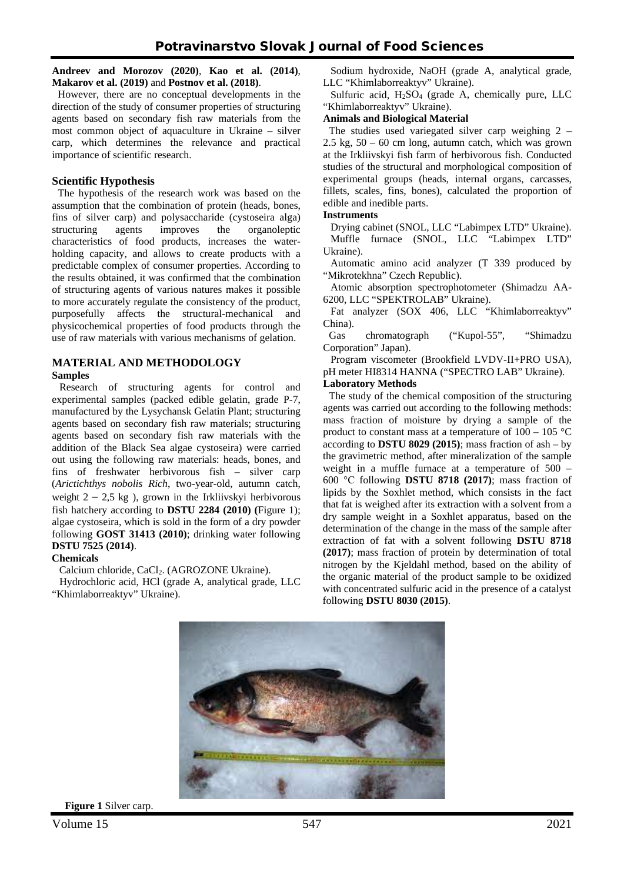**Andreev and Morozov (2020)**, **Kao et al. (2014)**, **Makarov et al. (2019)** and **Postnov et al. (2018)**.

However, there are no conceptual developments in the direction of the study of consumer properties of structuring agents based on secondary fish raw materials from the most common object of aquaculture in Ukraine – silver carp, which determines the relevance and practical importance of scientific research.

### **Scientific Hypothesis**

The hypothesis of the research work was based on the assumption that the combination of protein (heads, bones, fins of silver carp) and polysaccharide (cystoseira alga) structuring agents improves the organoleptic characteristics of food products, increases the waterholding capacity, and allows to create products with a predictable complex of consumer properties. According to the results obtained, it was confirmed that the combination of structuring agents of various natures makes it possible to more accurately regulate the consistency of the product, purposefully affects the structural-mechanical and physicochemical properties of food products through the use of raw materials with various mechanisms of gelation.

### **MATERIAL AND METHODOLOGY Samples**

Research of structuring agents for control and experimental samples (packed edible gelatin, grade P-7, manufactured by the Lysychansk Gelatin Plant; structuring agents based on secondary fish raw materials; structuring agents based on secondary fish raw materials with the addition of the Black Sea algae cystoseira) were carried out using the following raw materials: heads, bones, and fins of freshwater herbivorous fish – silver carp (*Arictichthys nobolis Rich*, two-year-old, autumn catch, weight  $2 - 2.5$  kg), grown in the Irkliivskyi herbivorous fish hatchery according to **DSTU 2284 (2010) (**Figure 1); algae cystoseira, which is sold in the form of a dry powder following **GOST 31413 (2010)**; drinking water following **DSTU 7525 (2014)**.

### **Chemicals**

Calcium chloride, CaCl<sub>2</sub>. (AGROZONE Ukraine).

Hydrochloric acid, HCl (grade A, analytical grade, LLC "Khimlaborreaktyv" Ukraine).

Sodium hydroxide, NaOH (grade A, analytical grade, LLC "Khimlaborreaktyv" Ukraine).

Sulfuric acid,  $H_2SO_4$  (grade A, chemically pure, LLC "Khimlaborreaktyv" Ukraine).

### **Animals and Biological Material**

The studies used variegated silver carp weighing 2 – 2.5 kg,  $50 - 60$  cm long, autumn catch, which was grown at the Irkliivskyi fish farm of herbivorous fish. Conducted studies of the structural and morphological composition of experimental groups (heads, internal organs, carcasses, fillets, scales, fins, bones), calculated the proportion of edible and inedible parts.

#### **Instruments**

Drying cabinet (SNOL, LLC "Labimpex LTD" Ukraine). Muffle furnace (SNOL, LLC "Labimpex LTD" Ukraine).

Automatic amino acid analyzer (T 339 produced by "Mikrotekhna" Czech Republic).

Atomic absorption spectrophotometer (Shimadzu AA-6200, LLC "SPEKTROLAB" Ukraine).

Fat analyzer (SOX 406, LLC "Khimlaborreaktyv" China).

Gas chromatograph ("Kupol-55", "Shimadzu Corporation" Japan).

Program viscometer (Brookfield LVDV-II+PRO USA), pH meter HI8314 HANNA ("SPECTRO LAB" Ukraine).

### **Laboratory Methods**

The study of the chemical composition of the structuring agents was carried out according to the following methods: mass fraction of moisture by drying a sample of the product to constant mass at a temperature of  $100 - 105$  °C according to **DSTU 8029 (2015)**; mass fraction of ash – by the gravimetric method, after mineralization of the sample weight in a muffle furnace at a temperature of 500 – 600 °С following **DSTU 8718 (2017)**; mass fraction of lipids by the Soxhlet method, which consists in the fact that fat is weighed after its extraction with a solvent from a dry sample weight in a Soxhlet apparatus, based on the determination of the change in the mass of the sample after extraction of fat with a solvent following **DSTU 8718 (2017)**; mass fraction of protein by determination of total nitrogen by the Kjeldahl method, based on the ability of the organic material of the product sample to be oxidized with concentrated sulfuric acid in the presence of a catalyst following **DSTU 8030 (2015)**.



**Figure 1** Silver carp.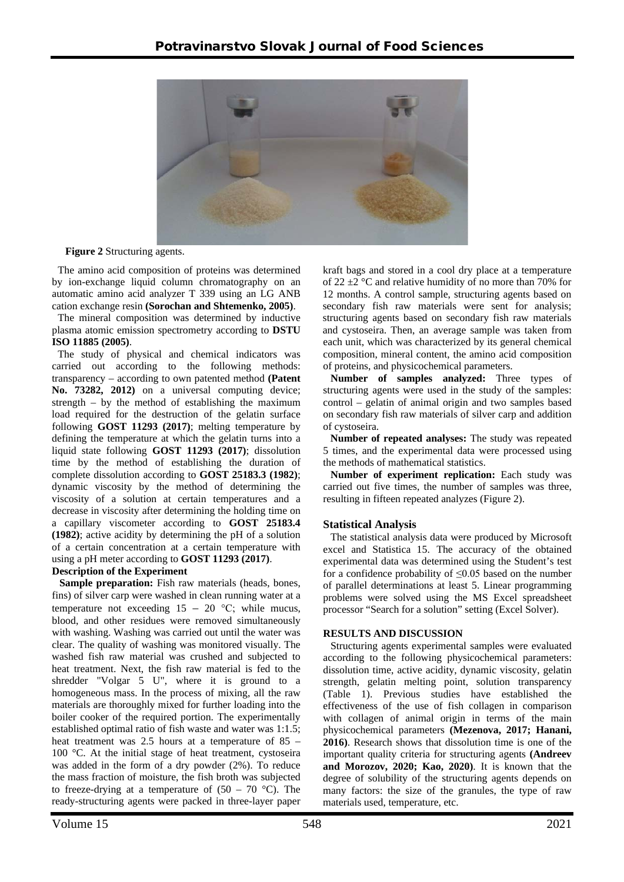

**Figure 2** Structuring agents.

The amino acid composition of proteins was determined by ion-exchange liquid column chromatography on an automatic amino acid analyzer T 339 using an LG ANB cation exchange resin **(Sorochan and Shtemenko, 2005)**.

The mineral composition was determined by inductive plasma atomic emission spectrometry according to **DSTU ISO 11885 (2005)**.

The study of physical and chemical indicators was carried out according to the following methods: transparency – according to own patented method **(Patent No. 73282, 2012)** on a universal computing device; strength – by the method of establishing the maximum load required for the destruction of the gelatin surface following **GOST 11293 (2017)**; melting temperature by defining the temperature at which the gelatin turns into a liquid state following **GOST 11293 (2017)**; dissolution time by the method of establishing the duration of complete dissolution according to **GOST 25183.3 (1982)**; dynamic viscosity by the method of determining the viscosity of a solution at certain temperatures and a decrease in viscosity after determining the holding time on a capillary viscometer according to **GOST 25183.4 (1982)**; active acidity by determining the pH of a solution of a certain concentration at a certain temperature with using a pH meter according to **GOST 11293 (2017)**.

### **Description of the Experiment**

**Sample preparation:** Fish raw materials (heads, bones, fins) of silver carp were washed in clean running water at a temperature not exceeding  $15 - 20$  °C; while mucus, blood, and other residues were removed simultaneously with washing. Washing was carried out until the water was clear. The quality of washing was monitored visually. The washed fish raw material was crushed and subjected to heat treatment. Next, the fish raw material is fed to the shredder "Volgar 5 U", where it is ground to a homogeneous mass. In the process of mixing, all the raw materials are thoroughly mixed for further loading into the boiler cooker of the required portion. The experimentally established optimal ratio of fish waste and water was 1:1.5; heat treatment was 2.5 hours at a temperature of 85 – 100 °C. At the initial stage of heat treatment, cystoseira was added in the form of a dry powder (2%). To reduce the mass fraction of moisture, the fish broth was subjected to freeze-drying at a temperature of  $(50 - 70$  °C). The ready-structuring agents were packed in three-layer paper

kraft bags and stored in a cool dry place at a temperature of 22  $\pm$ 2 °C and relative humidity of no more than 70% for 12 months. A control sample, structuring agents based on secondary fish raw materials were sent for analysis; structuring agents based on secondary fish raw materials and cystoseira. Then, an average sample was taken from each unit, which was characterized by its general chemical composition, mineral content, the amino acid composition of proteins, and physicochemical parameters.

**Number of samples analyzed:** Three types of structuring agents were used in the study of the samples: control – gelatin of animal origin and two samples based on secondary fish raw materials of silver carp and addition of cystoseira.

**Number of repeated analyses:** The study was repeated 5 times, and the experimental data were processed using the methods of mathematical statistics.

**Number of experiment replication:** Each study was carried out five times, the number of samples was three, resulting in fifteen repeated analyzes (Figure 2).

# **Statistical Analysis**

The statistical analysis data were produced by Microsoft excel and Statistica 15. The accuracy of the obtained experimental data was determined using the Student's test for a confidence probability of  $\leq 0.05$  based on the number of parallel determinations at least 5. Linear programming problems were solved using the MS Excel spreadsheet processor "Search for a solution" setting (Excel Solver).

### **RESULTS AND DISCUSSION**

Structuring agents experimental samples were evaluated according to the following physicochemical parameters: dissolution time, active acidity, dynamic viscosity, gelatin strength, gelatin melting point, solution transparency (Table 1). Previous studies have established the effectiveness of the use of fish collagen in comparison with collagen of animal origin in terms of the main physicochemical parameters **(Mezenova, 2017; Hanani, 2016)**. Research shows that dissolution time is one of the important quality criteria for structuring agents **(Andreev and Morozov, 2020; Kao, 2020)**. It is known that the degree of solubility of the structuring agents depends on many factors: the size of the granules, the type of raw materials used, temperature, etc.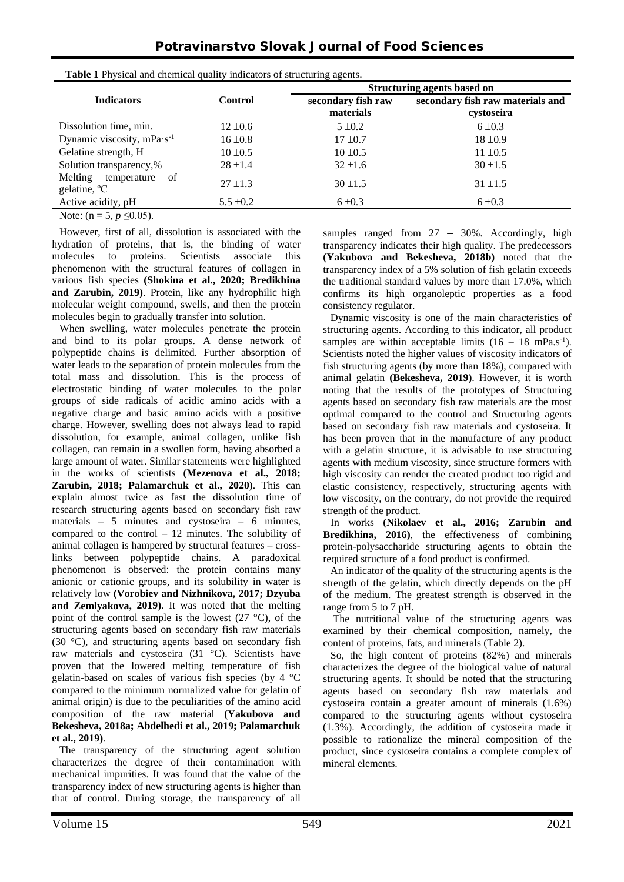|                                                           | <b>Control</b> | Structuring agents based on     |                                                |  |
|-----------------------------------------------------------|----------------|---------------------------------|------------------------------------------------|--|
| <b>Indicators</b>                                         |                | secondary fish raw<br>materials | secondary fish raw materials and<br>cystoseira |  |
| Dissolution time, min.                                    | $12 \pm 0.6$   | $5 \pm 0.2$                     | $6 \pm 0.3$                                    |  |
| Dynamic viscosity, $mPa·s^{-1}$                           | $16 \pm 0.8$   | $17 \pm 0.7$                    | $18 \pm 0.9$                                   |  |
| Gelatine strength, H                                      | $10 \pm 0.5$   | $10 \pm 0.5$                    | $11 \pm 0.5$                                   |  |
| Solution transparency,%                                   | $28 \pm 1.4$   | $32 \pm 1.6$                    | $30 \pm 1.5$                                   |  |
| Melting<br>temperature<br>-of<br>gelatine, <sup>o</sup> C | $27 \pm 1.3$   | $30 \pm 1.5$                    | $31 \pm 1.5$                                   |  |
| Active acidity, pH                                        | $5.5 \pm 0.2$  | $6 \pm 0.3$                     | $6 \pm 0.3$                                    |  |

**Table 1** Physical and chemical quality indicators of structuring agents.

Note:  $(n = 5, p \le 0.05)$ .

However, first of all, dissolution is associated with the hydration of proteins, that is, the binding of water molecules to proteins. Scientists associate this phenomenon with the structural features of collagen in various fish species **(Shokina et al., 2020; Bredikhina and Zarubin, 2019)**. Protein, like any hydrophilic high molecular weight compound, swells, and then the protein molecules begin to gradually transfer into solution.

When swelling, water molecules penetrate the protein and bind to its polar groups. A dense network of polypeptide chains is delimited. Further absorption of water leads to the separation of protein molecules from the total mass and dissolution. This is the process of electrostatic binding of water molecules to the polar groups of side radicals of acidic amino acids with a negative charge and basic amino acids with a positive charge. However, swelling does not always lead to rapid dissolution, for example, animal collagen, unlike fish collagen, can remain in a swollen form, having absorbed a large amount of water. Similar statements were highlighted in the works of scientists **(Mezenova et al., 2018; Zarubin, 2018; Palamarchuk et al., 2020)**. This can explain almost twice as fast the dissolution time of research structuring agents based on secondary fish raw materials – 5 minutes and cystoseira – 6 minutes, compared to the control – 12 minutes. The solubility of animal collagen is hampered by structural features – crosslinks between polypeptide chains. A paradoxical phenomenon is observed: the protein contains many anionic or cationic groups, and its solubility in water is relatively low **(Vorobiev and Nizhnikova, 2017; Dzyuba and Zemlyakova, 2019)**. It was noted that the melting point of the control sample is the lowest  $(27 \degree C)$ , of the structuring agents based on secondary fish raw materials (30 °C), and structuring agents based on secondary fish raw materials and cystoseira (31 °C). Scientists have proven that the lowered melting temperature of fish gelatin-based on scales of various fish species (by 4 °C compared to the minimum normalized value for gelatin of animal origin) is due to the peculiarities of the amino acid composition of the raw material **(Yakubova and Bekesheva, 2018a; Abdelhedi et al., 2019; Palamarchuk et al., 2019)**.

The transparency of the structuring agent solution characterizes the degree of their contamination with mechanical impurities. It was found that the value of the transparency index of new structuring agents is higher than that of control. During storage, the transparency of all samples ranged from  $27 - 30\%$ . Accordingly, high transparency indicates their high quality. The predecessors **(Yakubova and Bekesheva, 2018b)** noted that the transparency index of a 5% solution of fish gelatin exceeds the traditional standard values by more than 17.0%, which confirms its high organoleptic properties as a food consistency regulator.

Dynamic viscosity is one of the main characteristics of structuring agents. According to this indicator, all product samples are within acceptable limits  $(16 - 18 \text{ mPa.s}^{-1})$ . Scientists noted the higher values of viscosity indicators of fish structuring agents (by more than 18%), compared with animal gelatin **(Bekesheva, 2019)**. However, it is worth noting that the results of the prototypes of Structuring agents based on secondary fish raw materials are the most optimal compared to the control and Structuring agents based on secondary fish raw materials and cystoseira. It has been proven that in the manufacture of any product with a gelatin structure, it is advisable to use structuring agents with medium viscosity, since structure formers with high viscosity can render the created product too rigid and elastic consistency, respectively, structuring agents with low viscosity, on the contrary, do not provide the required strength of the product.

In works **(Nikolaev et al., 2016; Zarubin and Bredikhinа, 2016)**, the effectiveness of combining protein-polysaccharide structuring agents to obtain the required structure of a food product is confirmed.

An indicator of the quality of the structuring agents is the strength of the gelatin, which directly depends on the pH of the medium. The greatest strength is observed in the range from 5 to 7 pH.

The nutritional value of the structuring agents was examined by their chemical composition, namely, the content of proteins, fats, and minerals (Table 2).

So, the high content of proteins (82%) and minerals characterizes the degree of the biological value of natural structuring agents. It should be noted that the structuring agents based on secondary fish raw materials and cystoseira contain a greater amount of minerals (1.6%) compared to the structuring agents without cystoseira (1.3%). Accordingly, the addition of cystoseira made it possible to rationalize the mineral composition of the product, since cystoseira contains a complete complex of mineral elements.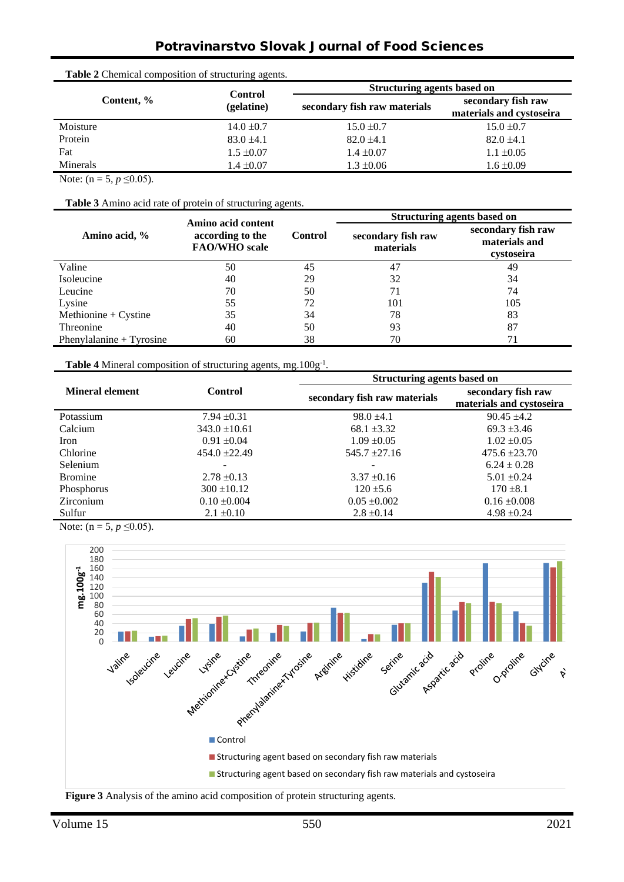# Potravinarstvo Slovak Journal of Food Sciences

| <b>Table 2</b> Chemical composition of structuring agents. |                              |                                    |                                                |  |  |  |
|------------------------------------------------------------|------------------------------|------------------------------------|------------------------------------------------|--|--|--|
|                                                            | <b>Control</b><br>(gelatine) | <b>Structuring agents based on</b> |                                                |  |  |  |
| Content, %                                                 |                              | secondary fish raw materials       | secondary fish raw<br>materials and cystoseira |  |  |  |
| Moisture                                                   | $14.0 \pm 0.7$               | $15.0 \pm 0.7$                     | $15.0 \pm 0.7$                                 |  |  |  |
| Protein                                                    | $83.0 \pm 4.1$               | $82.0 \pm 4.1$                     | $82.0 \pm 4.1$                                 |  |  |  |
| Fat                                                        | $1.5 \pm 0.07$               | $1.4 \pm 0.07$                     | $1.1 \pm 0.05$                                 |  |  |  |
| <b>Minerals</b>                                            | $1.4 \pm 0.07$               | $1.3 \pm 0.06$                     | $1.6 \pm 0.09$                                 |  |  |  |

Note:  $(n = 5, p \le 0.05)$ .

**Table 3** Amino acid rate of protein of structuring agents.

| Amino acid, %              | Amino acid content<br>according to the<br><b>FAO/WHO</b> scale |                | <b>Structuring agents based on</b> |                                                   |
|----------------------------|----------------------------------------------------------------|----------------|------------------------------------|---------------------------------------------------|
|                            |                                                                | <b>Control</b> | secondary fish raw<br>materials    | secondary fish raw<br>materials and<br>cystoseira |
| Valine                     | 50                                                             | 45             | 47                                 | 49                                                |
| Isoleucine                 | 40                                                             | 29             | 32                                 | 34                                                |
| Leucine                    | 70                                                             | 50             | 71                                 | 74                                                |
| Lysine                     | 55                                                             | 72             | 101                                | 105                                               |
| Methionine + $C$ ystine    | 35                                                             | 34             | 78                                 | 83                                                |
| Threonine                  | 40                                                             | 50             | 93                                 | 87                                                |
| Phenylalanine $+$ Tyrosine | 60                                                             | 38             | 70                                 | 71                                                |

Table 4 Mineral composition of structuring agents, mg.100g<sup>-1</sup>.

|                        |                   | <b>Structuring agents based on</b> |                                                |  |
|------------------------|-------------------|------------------------------------|------------------------------------------------|--|
| <b>Mineral element</b> | <b>Control</b>    | secondary fish raw materials       | secondary fish raw<br>materials and cystoseira |  |
| Potassium              | $7.94 \pm 0.31$   | $98.0 \pm 4.1$                     | $90.45 \pm 4.2$                                |  |
| Calcium                | $343.0 \pm 10.61$ | $68.1 \pm 3.32$                    | $69.3 \pm 3.46$                                |  |
| Iron                   | $0.91 \pm 0.04$   | $1.09 \pm 0.05$                    | $1.02 \pm 0.05$                                |  |
| Chlorine               | $454.0 \pm 22.49$ | $545.7 \pm 27.16$                  | $475.6 \pm 23.70$                              |  |
| Selenium               |                   |                                    | $6.24 \pm 0.28$                                |  |
| <b>Bromine</b>         | $2.78 \pm 0.13$   | $3.37 \pm 0.16$                    | $5.01 \pm 0.24$                                |  |
| Phosphorus             | $300 \pm 10.12$   | $120 \pm 5.6$                      | $170 \pm 8.1$                                  |  |
| <b>Zirconium</b>       | $0.10 \pm 0.004$  | $0.05 \pm 0.002$                   | $0.16 \pm 0.008$                               |  |
| Sulfur                 | $2.1 \pm 0.10$    | $2.8 \pm 0.14$                     | $4.98 \pm 0.24$                                |  |

Note:  $(n = 5, p \le 0.05)$ .



**Figure 3** Analysis of the amino acid composition of protein structuring agents.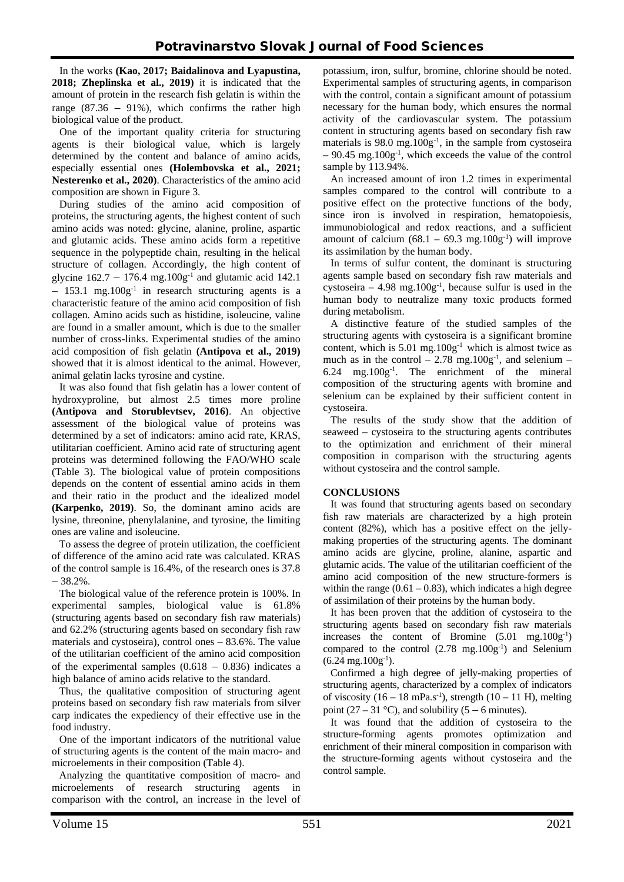In the works **(Kao, 2017; Baidalinova and Lyapustina, 2018; Zheplinska et al., 2019)** it is indicated that the amount of protein in the research fish gelatin is within the range  $(87.36 - 91\%)$ , which confirms the rather high biological value of the product.

One of the important quality criteria for structuring agents is their biological value, which is largely determined by the content and balance of amino acids, especially essential ones **(Holembovska et al., 2021; Nesterenko et al., 2020)**. Characteristics of the amino acid composition are shown in Figure 3.

During studies of the amino acid composition of proteins, the structuring agents, the highest content of such amino acids was noted: glycine, alanine, proline, aspartic and glutamic acids. These amino acids form a repetitive sequence in the polypeptide chain, resulting in the helical structure of collagen. Accordingly, the high content of glycine  $162.7 - 176.4$  mg. $100g^{-1}$  and glutamic acid 142.1  $- 153.1$  mg.  $100g^{-1}$  in research structuring agents is a characteristic feature of the amino acid composition of fish collagen. Amino acids such as histidine, isoleucine, valine are found in a smaller amount, which is due to the smaller number of cross-links. Experimental studies of the amino acid composition of fish gelatin **(Antipova et al., 2019)** showed that it is almost identical to the animal. However, animal gelatin lacks tyrosine and cystine.

It was also found that fish gelatin has a lower content of hydroxyproline, but almost 2.5 times more proline **(Antipova and Storublevtsev, 2016)**. An objective assessment of the biological value of proteins was determined by a set of indicators: amino acid rate, KRAS, utilitarian coefficient. Amino acid rate of structuring agent proteins was determined following the FAO/WHO scale (Table 3). The biological value of protein compositions depends on the content of essential amino acids in them and their ratio in the product and the idealized model **(Karpenko, 2019)**. So, the dominant amino acids are lysine, threonine, phenylalanine, and tyrosine, the limiting ones are valine and isoleucine.

To assess the degree of protein utilization, the coefficient of difference of the amino acid rate was calculated. KRAS of the control sample is 16.4%, of the research ones is 37.8  $-38.2%$ .

The biological value of the reference protein is 100%. In experimental samples, biological value is 61.8% (structuring agents based on secondary fish raw materials) and 62.2% (structuring agents based on secondary fish raw materials and cystoseira), control ones – 83.6%. The value of the utilitarian coefficient of the amino acid composition of the experimental samples  $(0.618 - 0.836)$  indicates a high balance of amino acids relative to the standard.

Thus, the qualitative composition of structuring agent proteins based on secondary fish raw materials from silver carp indicates the expediency of their effective use in the food industry.

One of the important indicators of the nutritional value of structuring agents is the content of the main macro- and microelements in their composition (Table 4).

Analyzing the quantitative composition of macro- and microelements of research structuring agents in comparison with the control, an increase in the level of potassium, iron, sulfur, bromine, chlorine should be noted. Experimental samples of structuring agents, in comparison with the control, contain a significant amount of potassium necessary for the human body, which ensures the normal activity of the cardiovascular system. The potassium content in structuring agents based on secondary fish raw materials is  $98.0$  mg. $100g^{-1}$ , in the sample from cystoseira  $-90.45$  mg.100g<sup>-1</sup>, which exceeds the value of the control sample by 113.94%.

An increased amount of iron 1.2 times in experimental samples compared to the control will contribute to a positive effect on the protective functions of the body, since iron is involved in respiration, hematopoiesis, immunobiological and redox reactions, and a sufficient amount of calcium  $(68.1 - 69.3$  mg. $100g^{-1}$ ) will improve its assimilation by the human body.

In terms of sulfur content, the dominant is structuring agents sample based on secondary fish raw materials and cystoseira – 4.98 mg.100 $g^{-1}$ , because sulfur is used in the human body to neutralize many toxic products formed during metabolism.

A distinctive feature of the studied samples of the structuring agents with cystoseira is a significant bromine content, which is 5.01 mg.100g-1 which is almost twice as much as in the control  $-2.78 \text{ mg}.100g^{-1}$ , and selenium  $6.24$  mg. $100g^{-1}$ . The enrichment of the mineral composition of the structuring agents with bromine and selenium can be explained by their sufficient content in cystoseira.

The results of the study show that the addition of seaweed – cystoseira to the structuring agents contributes to the optimization and enrichment of their mineral composition in comparison with the structuring agents without cystoseira and the control sample.

### **CONCLUSIONS**

It was found that structuring agents based on secondary fish raw materials are characterized by a high protein content (82%), which has a positive effect on the jellymaking properties of the structuring agents. The dominant amino acids are glycine, proline, alanine, aspartic and glutamic acids. The value of the utilitarian coefficient of the amino acid composition of the new structure-formers is within the range  $(0.61 - 0.83)$ , which indicates a high degree of assimilation of their proteins by the human body.

It has been proven that the addition of cystoseira to the structuring agents based on secondary fish raw materials increases the content of Bromine (5.01 mg.100g<sup>-1</sup>) compared to the control (2.78 mg.100g<sup>-1</sup>) and Selenium  $(6.24 \text{ mg}.100 \text{g}^{-1})$ .

Confirmed a high degree of jelly-making properties of structuring agents, characterized by a complex of indicators of viscosity  $(16 - 18 \text{ mPa.s}^{-1})$ , strength  $(10 - 11 \text{ H})$ , melting point (27 – 31 °C), and solubility (5 – 6 minutes).

It was found that the addition of cystoseira to the structure-forming agents promotes optimization and enrichment of their mineral composition in comparison with the structure-forming agents without cystoseira and the control sample.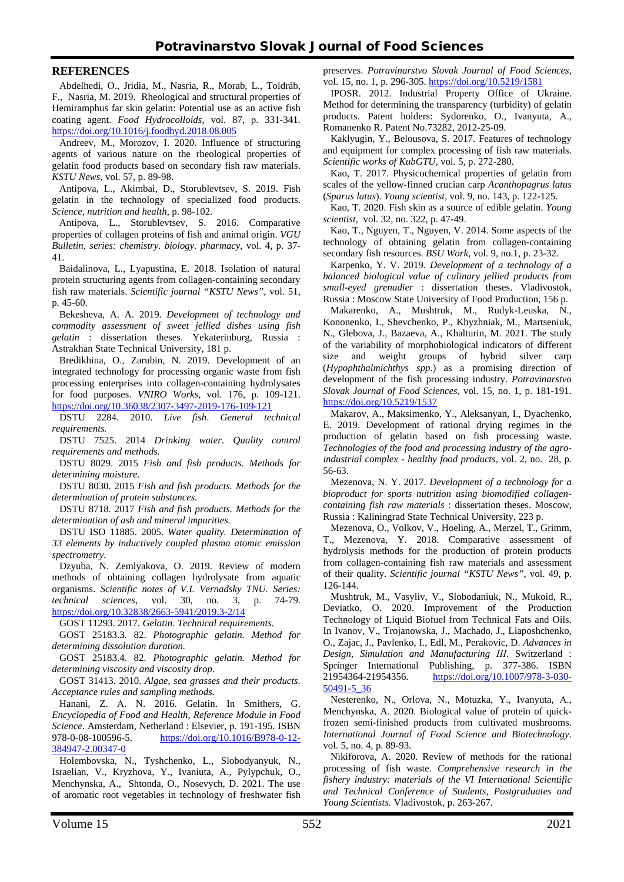### **REFERENCES**

Abdelhedi, О., Jridia, M., Nasria, R., Morab, L., Toldráb, F., Nasria, M. 2019. Rheological and structural properties of Hemiramphus far skin gelatin: Potential use as an active fish coating agent. *Food Hydrocolloids*, vol. 87, р. 331-341. <https://doi.org/10.1016/j.foodhyd.2018.08.005>

Andreev, M., Morozov, I. 2020. Influence of structuring agents of various nature on the rheological properties of gelatin food products based on secondary fish raw materials. *KSTU News*, vol. 57, p. 89-98.

Antipova, L., Akimbai, D., Storublevtsev, S. 2019. Fish gelatin in the technology of specialized food products. *Science, nutrition and health*, p. 98-102.

Antipova, L., Storublevtsev, S. 2016. Comparative properties of collagen proteins of fish and animal origin. *VGU Bulletin, series: chemistry. biology. pharmacy*, vol. 4, p. 37- 41.

Baidalinova, L., Lyapustina, E. 2018. Isolation of natural protein structuring agents from collagen-containing secondary fish raw materials. *Scientific journal "KSTU News"*, vol. 51, p. 45-60.

Bekesheva, A. A. 2019. *Development of technology and commodity assessment of sweet jellied dishes using fish gelatin* : dissertation theses. Yekaterinburg, Russia : Astrakhan State Technical University, 181 p.

Bredikhina, O., Zarubin, N. 2019. Development of an integrated technology for processing organic waste from fish processing enterprises into collagen-containing hydrolysates for food purposes. *VNIRO Works*, vol. 176, p. 109-121. <https://doi.org/10.36038/2307-3497-2019-176-109-121>

DSTU 2284. 2010. *Live fish*. *General technical requirements.*

DSTU 7525. 2014 *Drinking water. Quality control requirements and methods.*

DSTU 8029. 2015 *Fish and fish products. Methods for determining moisture.*

DSTU 8030. 2015 *Fish and fish products. Methods for the determination of protein substances.*

DSTU 8718. 2017 *Fish and fish products. Methods for the determination of ash and mineral impurities.*

DSTU ISO 11885. 2005. *Water quality. Determination of 33 elements by inductively coupled plasma atomic emission spectrometry.*

Dzyuba, N. Zemlyakova, O. 2019. Review of modern methods of obtaining collagen hydrolysate from aquatic organisms. *Scientific notes of V.I. Vernadsky TNU. Series: technical sciences*, vol. 30, no. 3, p. 74-79. <https://doi.org/10.32838/2663-5941/2019.3-2/14>

GOST 11293. 2017. *Gelatin. Technical requirements.*

GOST 25183.3. 82. *Photographic gelatin. Method for determining dissolution duration.*

GOST 25183.4. 82. *Photographic gelatin. Method for determining viscosity and viscosity drop.*

GOST 31413. 2010. *Algae, sea grasses and their products. Acceptance rules and sampling methods.*

Hanani, Z. А. N. 2016. Gelatin. In Smithers, G. *Encyclopedia of Food and Health, Reference Module in Food Science*. Amsterdam, Netherland : Elsevier, p. 191-195. ISBN<br>978-0-08-100596-5. https://doi.org/10.1016/B978-0-12[https://doi.org/10.1016/B978-0-12-](https://doi.org/10.1016/B978-0-12-384947-2.00347-0) [384947-2.00347-0](https://doi.org/10.1016/B978-0-12-384947-2.00347-0)

Holembovska, N., Tyshchenko, L., Slobodyanyuk, N., Israelian, V., Kryzhova, Y., Ivaniuta, A., Pylypchuk, O., Menchynska, A., Shtonda, O., Nosevych, D. 2021. The use of aromatic root vegetables in technology of freshwater fish preserves. *Potravinarstvo Slovak Journal of Food Sciences,* vol. 15, no. 1, p. 296-305. <https://doi.org/10.5219/1581>

IPOSR. 2012. Industrial Property Office of Ukraine. Method for determining the transparency (turbidity) of gelatin products. Patent holders: Sydorenko, O., Ivanyuta, A., Romanenko R. Patent No.73282, 2012-25-09.

Kaklyugin, Y., Belousova, S. 2017. Features of technology and equipment for complex processing of fish raw materials. *Scientific works of KubGTU*, vol. 5, p. 272-280.

Kao, T. 2017. Physicochemical properties of gelatin from scales of the yellow-finned crucian carp *Acanthopagrus latus* (*Sparus latus*). *Young scientist*, vol. 9, no. 143, p. 122-125.

Kao, T. 2020. Fish skin as a source of edible gelatin. *Young scientist*, vol. 32, no. 322, p. 47-49.

Kao, T., Nguyen, T., Nguyen, V. 2014. Some aspects of the technology of obtaining gelatin from collagen-containing secondary fish resources. *BSU Work*, vol. 9, no.1, p. 23-32.

Karpenko, Y. V. 2019. *Development of a technology of a balanced biological value of culinary jellied products from small-eyed grenadier* : dissertation theses. Vladivostok, Russia : Moscow State University of Food Production, 156 p.

Makarenko, A., Mushtruk, M., Rudyk-Leuska, N., Kononenko, I., Shevchenko, P., Khyzhniak, M., Martseniuk, N., Glebova, J., Bazaeva, A., Khalturin, M. 2021. The study of the variability of morphobiological indicators of different size and weight groups of hybrid silver carp (*Hypophthalmichthys spp*.) as a promising direction of development of the fish processing industry. *Potravinarstvo Slovak Journal of Food Sciences*, vol. 15, no. 1, p. 181-191. <https://doi.org/10.5219/1537>

Makarov, A., Maksimenko, Y., Aleksanyan, I., Dyachenko, E. 2019. Development of rational drying regimes in the production of gelatin based on fish processing waste. *Technologies of the food and processing industry of the agroindustrial complex - healthy food products*, vol. 2, no. 28, p. 56-63.

Mezenova, N. Y. 2017. *Development of a technology for a bioproduct for sports nutrition using biomodified collagencontaining fish raw materials* : dissertation theses. Moscow, Russia : Kaliningrad State Technical University, 223 p.

Mezenova, O., Volkov, V., Hoeling, A., Merzel, T., Grimm, T., Mezenova, Y. 2018. Comparative assessment of hydrolysis methods for the production of protein products from collagen-containing fish raw materials and assessment of their quality. *Scientific journal "KSTU News"*, vol. 49, p. 126-144.

Mushtruk, M., Vasyliv, V., Slobodaniuk, N., Mukoid, R., Deviatko, O. 2020. Improvement of the Production Technology of Liquid Biofuel from Technical Fats and Oils. In Ivanov, V., Trojanowska, J., Machado, J., Liaposhchenko, O., Zajac, J., Pavlenko, I., Edl, M., Perakovic, D. *Advances in Design, Simulation and Manufacturing IІI*. Switzerland : Springer International Publishing, p. 377-386. ISBN 21954364-21954356. [https://doi.org/10.1007/978-3-030-](https://doi.org/10.1007/978-3-030-50491-5_36) [50491-5\\_36](https://doi.org/10.1007/978-3-030-50491-5_36)

Nesterenko, N., Orlova, N., Motuzka, Y., Ivanyuta, А., Menchynska, A. 2020. Biological value of protein of quickfrozen semi-finished products from cultivated mushrooms. *International Journal of Food Science and Biotechnology.*  vol. 5, no. 4, p. 89-93.

Nikiforova, A. 2020. Review of methods for the rational processing of fish waste. *Comprehensive research in the fishery industry: materials of the VI International Scientific and Technical Conference of Students, Postgraduates and Young Scientists.* Vladivostok, p. 263-267.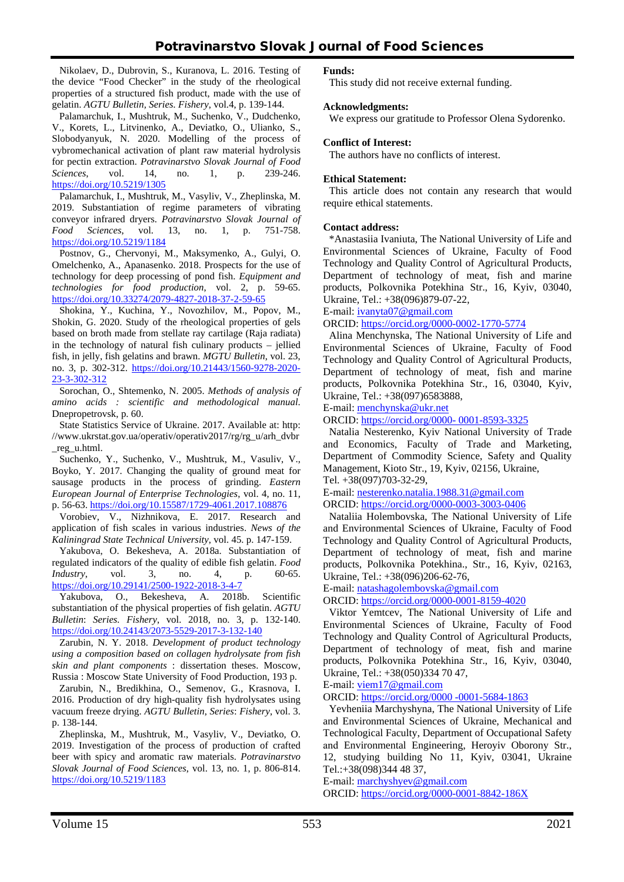Nikolaev, D., Dubrovin, S., Kuranova, L. 2016. Testing of the device "Food Checker" in the study of the rheological properties of a structured fish product, made with the use of gelatin. *AGTU Bulletin, Series. Fishery*, vol.4, p. 139-144.

Palamarchuk, I., Mushtruk, M., Suchenko, V., Dudchenko, V., Korets, L., Litvinenko, A., Deviatko, O., Ulianko, S., Slobodyanyuk, N. 2020. Modelling of the process of vybromechanical activation of plant raw material hydrolysis for pectin extraction. *Potravinarstvo Slovak Journal of Food Sciences*, vol. 14, no. 1, p. 239-246. <https://doi.org/10.5219/1305>

Palamarchuk, I., Mushtruk, M., Vasyliv, V., Zheplinska, M. 2019. Substantiation of regime parameters of vibrating conveyor infrared dryers. *Potravinarstvo Slovak Journal of Food Sciences*, vol. 13, no. 1, p. 751-758. <https://doi.org/10.5219/1184>

Postnov, G., Chervonyi, M., Maksymenko, A., Gulyi, O. Omelchenko, A., Apanasenko. 2018. Prospects for the use of technology for deep processing of pond fish. *Equipment and technologies for food production*, vol. 2, p. 59-65. <https://doi.org/10.33274/2079-4827-2018-37-2-59-65>

Shokina, Y., Kuchina, Y., Novozhilov, M., Popov, M., Shokin, G. 2020. Study of the rheological properties of gels based on broth made from stellate ray cartilage (Raja radiata) in the technology of natural fish culinary products – jellied fish, in jelly, fish gelatins and brawn. *MGTU Bulletin*, vol. 23, no. 3, p. 302-312. [https://doi.org/10.21443/1560-9278-2020-](https://doi.org/10.21443/1560-9278-2020-23-3-302-312) [23-3-302-312](https://doi.org/10.21443/1560-9278-2020-23-3-302-312)

Sorochan, O., Shtemenko, N. 2005. *Methods of analysis of amino acids : scientific and methodological manual*. Dnepropetrovsk, p. 60.

State Statistics Service of Ukraine. 2017. Available at: http: //www.ukrstat.gov.ua/operativ/operativ2017/rg/rg\_u/arh\_dvbr \_reg\_u.html.

Suchenko, Y., Suchenko, V., Mushtruk, M., Vasuliv, V., Boyko, Y. 2017. Changing the quality of ground meat for sausage products in the process of grinding. *Eastern European Journal of Enterprise Technologies*, vol. 4, no. 11, p. 56-63. <https://doi.org/10.15587/1729-4061.2017.108876>

Vorobiev, V., Nizhnikova, E. 2017. Research and application of fish scales in various industries. *News of the Kaliningrad State Technical University*, vol. 45. p. 147-159.

Yakubova, O. Bekesheva, A. 2018a. Substantiation of regulated indicators of the quality of edible fish gelatin. *Food Industry*, vol. 3, no. 4, p. 60-65. <https://doi.org/10.29141/2500-1922-2018-3-4-7>

Yakubova, O., Bekesheva, A. 2018b. Scientific substantiation of the physical properties of fish gelatin. *AGTU Bulletin*: *Series. Fishery*, vol. 2018, no. 3, p. 132-140. <https://doi.org/10.24143/2073-5529-2017-3-132-140>

Zarubin, N. Y. 2018. *Development of product technology using a composition based on collagen hydrolysate from fish skin and plant components* : dissertation theses. Moscow, Russia : Moscow State University of Food Production, 193 p.

Zarubin, N., Bredikhina, O., Semenov, G., Krasnova, I. 2016. Production of dry high-quality fish hydrolysates using vacuum freeze drying. *AGTU Bulletin*, *Series*: *Fishery*, vol. 3. p. 138-144.

Zheplinska, M., Mushtruk, M., Vasyliv, V., Deviatko, O. 2019. Investigation of the process of production of crafted beer with spicy and aromatic raw materials. *Potravinarstvo Slovak Journal of Food Sciences*, vol. 13, no. 1, p. 806-814. <https://doi.org/10.5219/1183>

## **Funds:**

This study did not receive external funding.

#### **Acknowledgments:** We express our gratitude to Professor Olena Sydorenko.

### **Conflict of Interest:**

The authors have no conflicts of interest.

### **Ethical Statement:**

This article does not contain any research that would require ethical statements.

### **Contact address:**

\*Anastasiia Ivaniuta, The National University of Life and Environmental Sciences of Ukraine, Faculty of Food Technology and Quality Control of Agricultural Products, Department of technology of meat, fish and marine products, Polkovnika Potekhina Str., 16, Kyiv, 03040, Ukraine, Tel.: +38(096)879-07-22,

E-mail: [ivanyta07@gmail.com](mailto:ivanyta07@gmail.com)

ORCID: <https://orcid.org/0000-0002-1770-5774>

Alina Menchynska, The National University of Life and Environmental Sciences of Ukraine, Faculty of Food Technology and Quality Control of Agricultural Products, Department of technology of meat, fish and marine products, Polkovnika Potekhina Str., 16, 03040, Kyiv, Ukraine, Tel.: +38(097)6583888,

E-mail: [menchynska@ukr.net](mailto:menchynska@ukr.net)

ORCID: [https://orcid.org/0000-](https://orcid.org/0000-%C2%A00001-8593-3325) 0001-8593-3325

Natalia Nesterenko, Kyiv National University of Trade and Economics, Faculty of Trade and Marketing, Department of Commodity Science, Safety and Quality Management, Kioto Str., 19, Kyiv, 02156, Ukraine, Tel. +38(097)703-32-29,

E-mail: [nesterenko.natalia.1988.31@gmail.com](mailto:nesterenko.natalia.1988.31@gmail.com) ORCID: <https://orcid.org/0000-0003-3003-0406>

Nataliia Holembovska, The National University of Life and Environmental Sciences of Ukraine, Faculty of Food Technology and Quality Control of Agricultural Products, Department of technology of meat, fish and marine products, Polkovnika Potekhina., Str., 16, Kyiv, 02163, Ukraine, Tel.: +38(096)206-62-76,

E-mail: [natashagolembovska@gmail.com](mailto:natashagolembovska@gmail.com)

ORCID: <https://orcid.org/0000-0001-8159-4020>

Viktor Yemtcev, The National University of Life and Environmental Sciences of Ukraine, Faculty of Food Technology and Quality Control of Agricultural Products, Department of technology of meat, fish and marine products, Polkovnika Potekhina Str., 16, Kyiv, 03040, Ukraine, Tel.: +38(050)334 70 47,

E-mail: [viem17@gmail.com](mailto:viem17@gmail.com) 

ORCID: [https://orcid.org/0000 -0001-5684-1863](https://orcid.org/0000%20-0001-5684-1863)

Yevheniia Marchyshyna, The National University of Life and Environmental Sciences of Ukraine, Mechanical and Technological Faculty, Department of Occupational Safety аnd Environmental Engineering, Heroyiv Oborony Str., 12, studying building No 11, Kyiv, 03041, Ukraine Tel.:+38(098)344 48 37,

E-mail: marchyshyev@gmail.com ORCID: <https://orcid.org/0000-0001-8842-186X>